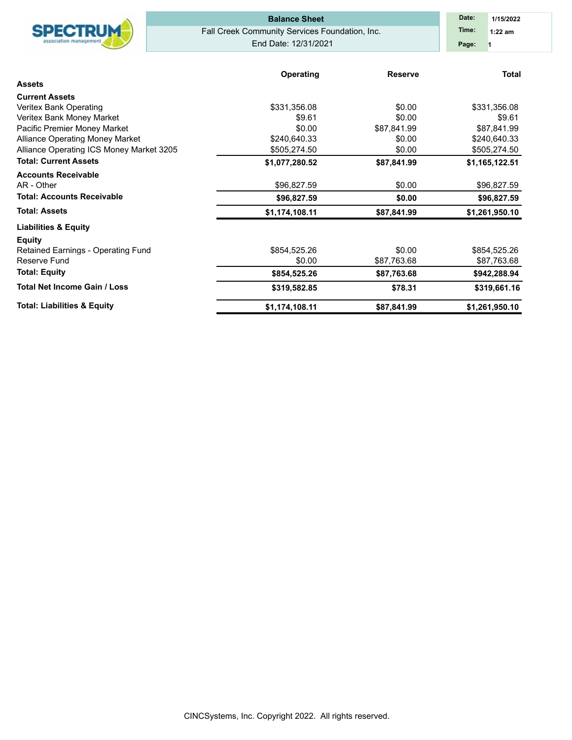|                                          | <b>Balance Sheet</b>                           | Date:<br>1/15/2022          |                |  |  |  |  |  |  |
|------------------------------------------|------------------------------------------------|-----------------------------|----------------|--|--|--|--|--|--|
| <b>SPECTRUM</b>                          | Fall Creek Community Services Foundation, Inc. | Time:<br>$1:22$ am          |                |  |  |  |  |  |  |
| association managemen                    | End Date: 12/31/2021                           | Page:                       |                |  |  |  |  |  |  |
|                                          |                                                | Operating<br><b>Reserve</b> |                |  |  |  |  |  |  |
| <b>Assets</b>                            |                                                |                             | <b>Total</b>   |  |  |  |  |  |  |
| <b>Current Assets</b>                    |                                                |                             |                |  |  |  |  |  |  |
| Veritex Bank Operating                   | \$331,356.08                                   | \$0.00                      |                |  |  |  |  |  |  |
| Veritex Bank Money Market                | \$9.61                                         | \$0.00                      | \$9.61         |  |  |  |  |  |  |
| Pacific Premier Money Market             | \$0.00                                         | \$87,841.99                 | \$87,841.99    |  |  |  |  |  |  |
| Alliance Operating Money Market          | \$240,640.33                                   | \$0.00                      | \$240,640.33   |  |  |  |  |  |  |
| Alliance Operating ICS Money Market 3205 | \$505,274.50                                   | \$0.00                      | \$505,274.50   |  |  |  |  |  |  |
| <b>Total: Current Assets</b>             | \$1,077,280.52                                 | \$87,841.99                 | \$1,165,122.51 |  |  |  |  |  |  |
| <b>Accounts Receivable</b>               |                                                |                             |                |  |  |  |  |  |  |
| AR - Other                               | \$96,827.59                                    | \$0.00                      | \$96,827.59    |  |  |  |  |  |  |
| <b>Total: Accounts Receivable</b>        | \$96,827.59                                    | \$0.00                      | \$96,827.59    |  |  |  |  |  |  |
| <b>Total: Assets</b>                     | \$1,174,108.11                                 | \$87,841.99                 | \$1,261,950.10 |  |  |  |  |  |  |
| <b>Liabilities &amp; Equity</b>          |                                                |                             |                |  |  |  |  |  |  |
| <b>Equity</b>                            |                                                |                             |                |  |  |  |  |  |  |
| Retained Earnings - Operating Fund       | \$854,525.26                                   | \$0.00                      | \$854,525.26   |  |  |  |  |  |  |
| Reserve Fund                             | \$0.00                                         | \$87,763.68                 | \$87,763.68    |  |  |  |  |  |  |
| <b>Total: Equity</b>                     | \$854,525.26                                   | \$87,763.68                 | \$942,288.94   |  |  |  |  |  |  |
| <b>Total Net Income Gain / Loss</b>      | \$319,582.85                                   | \$78.31                     | \$319,661.16   |  |  |  |  |  |  |
| <b>Total: Liabilities &amp; Equity</b>   | \$1,174,108.11                                 | \$87,841.99                 | \$1,261,950.10 |  |  |  |  |  |  |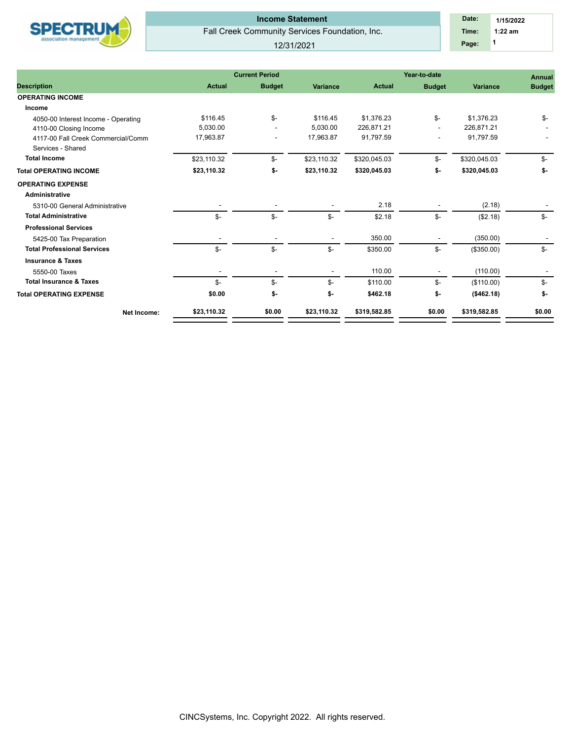

## Fall Creek Community Services Foundation, Inc. **Income Statement**

12/31/2021

|                                     |               | <b>Current Period</b> |                          | Year-to-date  | <b>Annual</b> |              |               |  |
|-------------------------------------|---------------|-----------------------|--------------------------|---------------|---------------|--------------|---------------|--|
| <b>Description</b>                  | <b>Actual</b> | <b>Budget</b>         | <b>Variance</b>          | <b>Actual</b> | <b>Budget</b> | Variance     | <b>Budget</b> |  |
| <b>OPERATING INCOME</b>             |               |                       |                          |               |               |              |               |  |
| Income                              |               |                       |                          |               |               |              |               |  |
| 4050-00 Interest Income - Operating | \$116.45      | $S-$                  | \$116.45                 | \$1.376.23    | $S-$          | \$1.376.23   | \$-           |  |
| 4110-00 Closing Income              | 5.030.00      |                       | 5.030.00                 | 226.871.21    |               | 226.871.21   |               |  |
| 4117-00 Fall Creek Commercial/Comm  | 17,963.87     |                       | 17,963.87                | 91,797.59     |               | 91,797.59    |               |  |
| Services - Shared                   |               |                       |                          |               |               |              |               |  |
| <b>Total Income</b>                 | \$23,110.32   | $S-$                  | \$23,110.32              | \$320,045.03  | \$-           | \$320,045.03 | \$-           |  |
| <b>Total OPERATING INCOME</b>       | \$23,110.32   | \$-                   | \$23,110.32              | \$320,045.03  | \$-           | \$320,045.03 | \$-           |  |
| <b>OPERATING EXPENSE</b>            |               |                       |                          |               |               |              |               |  |
| <b>Administrative</b>               |               |                       |                          |               |               |              |               |  |
| 5310-00 General Administrative      |               |                       |                          | 2.18          |               | (2.18)       |               |  |
| <b>Total Administrative</b>         | $S-$          | \$-                   | $S-$                     | \$2.18        | \$-           | (\$2.18)     | $S-$          |  |
| <b>Professional Services</b>        |               |                       |                          |               |               |              |               |  |
| 5425-00 Tax Preparation             |               |                       |                          | 350.00        |               | (350.00)     |               |  |
| <b>Total Professional Services</b>  | $S-$          | $S-$                  | $S-$                     | \$350.00      | \$-           | (\$350.00)   | $S-$          |  |
| <b>Insurance &amp; Taxes</b>        |               |                       |                          |               |               |              |               |  |
| 5550-00 Taxes                       |               |                       | $\overline{\phantom{a}}$ | 110.00        |               | (110.00)     |               |  |
| <b>Total Insurance &amp; Taxes</b>  | \$-           | \$-                   | \$-                      | \$110.00      | \$-           | (\$110.00)   | \$-           |  |
| <b>Total OPERATING EXPENSE</b>      | \$0.00        | \$-                   | \$-                      | \$462.18      | \$-           | ( \$462.18)  | \$-           |  |
| Net Income:                         | \$23.110.32   | \$0.00                | \$23.110.32              | \$319.582.85  | \$0.00        | \$319.582.85 | \$0.00        |  |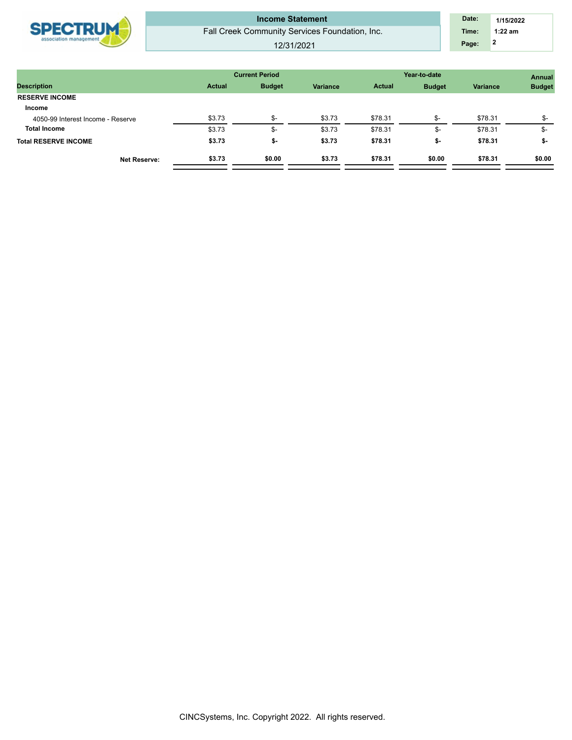| Page:<br>12/31/2021 |
|---------------------|
|---------------------|

|               |               |                       |               | <b>Annual</b> |              |               |
|---------------|---------------|-----------------------|---------------|---------------|--------------|---------------|
| <b>Actual</b> | <b>Budget</b> | <b>Variance</b>       | <b>Actual</b> | <b>Budget</b> | Variance     | <b>Budget</b> |
|               |               |                       |               |               |              |               |
|               |               |                       |               |               |              |               |
| \$3.73        | \$-           | \$3.73                | \$78.31       | \$-           | \$78.31      | \$-           |
| \$3.73        | \$-           | \$3.73                | \$78.31       | \$-           | \$78.31      | \$-           |
| \$3.73        | \$-           | \$3.73                | \$78.31       | \$-           | \$78.31      | \$-           |
| \$3.73        | \$0.00        | \$3.73                | \$78.31       | \$0.00        | \$78.31      | \$0.00        |
|               |               | <b>Current Period</b> |               |               | Year-to-date |               |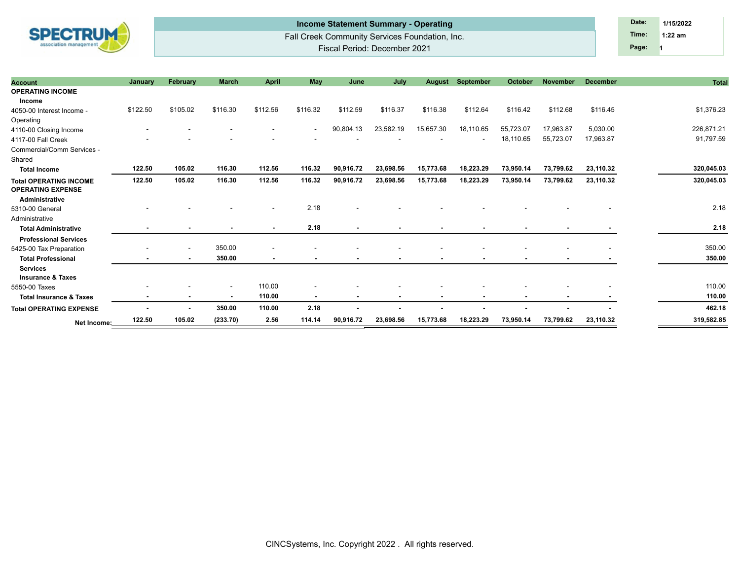

## Fall Creek Community Services Foundation, Inc. Fiscal Period: December 2021 **Income Statement Summary - Operating Date: Date: Date: Date: Date: Date: 1/15/2022**

**1 Time: 1:22 am Page:**

| <b>Account</b>                                            | January        | February       | <b>March</b> | <b>April</b>   | <b>May</b>               | June           | July           | August                   | September      | October   | <b>November</b> | <b>December</b> | <b>Total</b> |
|-----------------------------------------------------------|----------------|----------------|--------------|----------------|--------------------------|----------------|----------------|--------------------------|----------------|-----------|-----------------|-----------------|--------------|
| <b>OPERATING INCOME</b>                                   |                |                |              |                |                          |                |                |                          |                |           |                 |                 |              |
| Income                                                    |                |                |              |                |                          |                |                |                          |                |           |                 |                 |              |
| 4050-00 Interest Income -                                 | \$122.50       | \$105.02       | \$116.30     | \$112.56       | \$116.32                 | \$112.59       | \$116.37       | \$116.38                 | \$112.64       | \$116.42  | \$112.68        | \$116.45        | \$1,376.23   |
| Operating                                                 |                |                |              |                |                          |                |                |                          |                |           |                 |                 |              |
| 4110-00 Closing Income                                    |                |                |              |                | $\overline{\phantom{a}}$ | 90,804.13      | 23,582.19      | 15,657.30                | 18,110.65      | 55,723.07 | 17,963.87       | 5,030.00        | 226,871.21   |
| 4117-00 Fall Creek                                        |                |                |              |                |                          |                |                |                          |                | 18,110.65 | 55,723.07       | 17,963.87       | 91,797.59    |
| Commercial/Comm Services -                                |                |                |              |                |                          |                |                |                          |                |           |                 |                 |              |
| Shared                                                    |                |                |              |                |                          |                |                |                          |                |           |                 |                 |              |
| <b>Total Income</b>                                       | 122.50         | 105.02         | 116.30       | 112.56         | 116.32                   | 90,916.72      | 23,698.56      | 15,773.68                | 18,223.29      | 73,950.14 | 73,799.62       | 23,110.32       | 320,045.03   |
| <b>Total OPERATING INCOME</b><br><b>OPERATING EXPENSE</b> | 122.50         | 105.02         | 116.30       | 112.56         | 116.32                   | 90,916.72      | 23,698.56      | 15,773.68                | 18,223.29      | 73,950.14 | 73,799.62       | 23,110.32       | 320,045.03   |
| Administrative                                            |                |                |              |                |                          |                |                |                          |                |           |                 |                 |              |
| 5310-00 General                                           |                |                |              |                | 2.18                     |                |                |                          |                |           |                 |                 | 2.18         |
| Administrative                                            |                |                |              |                |                          |                |                |                          |                |           |                 |                 |              |
| <b>Total Administrative</b>                               |                |                |              |                | 2.18                     | $\blacksquare$ | ٠              | $\overline{\phantom{a}}$ |                |           |                 |                 | 2.18         |
| <b>Professional Services</b>                              |                |                |              |                |                          |                |                |                          |                |           |                 |                 |              |
| 5425-00 Tax Preparation                                   |                |                | 350.00       | ٠              |                          |                |                |                          |                |           |                 |                 | 350.00       |
| <b>Total Professional</b>                                 | $\blacksquare$ | $\sim$         | 350.00       | $\blacksquare$ | ٠                        |                | $\blacksquare$ | $\blacksquare$           |                |           |                 |                 | 350.00       |
| <b>Services</b>                                           |                |                |              |                |                          |                |                |                          |                |           |                 |                 |              |
| <b>Insurance &amp; Taxes</b>                              |                |                |              |                |                          |                |                |                          |                |           |                 |                 |              |
| 5550-00 Taxes                                             |                |                |              | 110.00         |                          |                |                |                          |                |           |                 |                 | 110.00       |
| <b>Total Insurance &amp; Taxes</b>                        |                | ٠              |              | 110.00         | $\overline{\phantom{a}}$ | $\blacksquare$ | ۰.             | ٠                        | $\blacksquare$ | $\sim$    | $\blacksquare$  |                 | 110.00       |
| <b>Total OPERATING EXPENSE</b>                            |                | $\blacksquare$ | 350.00       | 110.00         | 2.18                     |                |                |                          |                |           |                 |                 | 462.18       |
| Net Income:                                               | 122.50         | 105.02         | (233.70)     | 2.56           | 114.14                   | 90,916.72      | 23,698.56      | 15,773.68                | 18,223.29      | 73,950.14 | 73,799.62       | 23,110.32       | 319,582.85   |